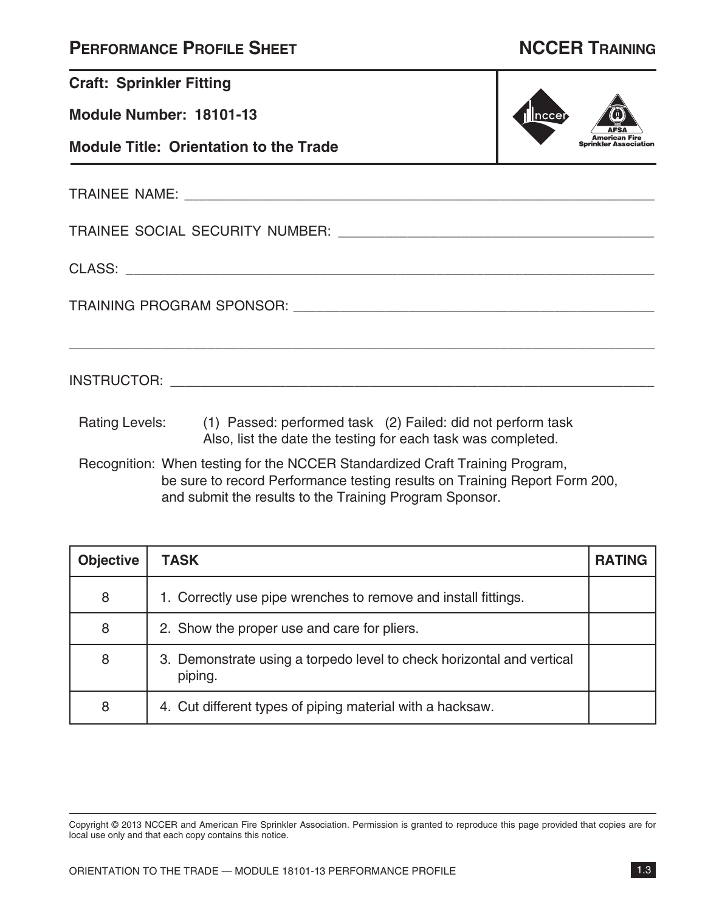| <b>PERFORMANCE PROFILE SHEET</b> |  |  |
|----------------------------------|--|--|
|----------------------------------|--|--|

## **NCCER TRAINING**

| <b>Craft: Sprinkler Fitting</b>               |                                                                                                                                            |                |
|-----------------------------------------------|--------------------------------------------------------------------------------------------------------------------------------------------|----------------|
| Module Number: 18101-13                       |                                                                                                                                            | <u> </u> nccei |
| <b>Module Title: Orientation to the Trade</b> |                                                                                                                                            |                |
|                                               |                                                                                                                                            |                |
|                                               |                                                                                                                                            |                |
|                                               |                                                                                                                                            |                |
|                                               |                                                                                                                                            |                |
|                                               |                                                                                                                                            |                |
|                                               | Rating Levels: (1) Passed: performed task (2) Failed: did not perform task<br>Also, list the date the testing for each task was completed. |                |
|                                               | Recognition: When testing for the NCCER Standardized Craft Training Program,                                                               |                |

be sure to record Performance testing results on Training Report Form 200, and submit the results to the Training Program Sponsor.

| <b>Objective</b> | <b>TASK</b>                                                                      | <b>RATING</b> |
|------------------|----------------------------------------------------------------------------------|---------------|
| 8                | 1. Correctly use pipe wrenches to remove and install fittings.                   |               |
| 8                | 2. Show the proper use and care for pliers.                                      |               |
| 8                | 3. Demonstrate using a torpedo level to check horizontal and vertical<br>piping. |               |
| 8                | 4. Cut different types of piping material with a hacksaw.                        |               |

Copyright © 2013 NCCER and American Fire Sprinkler Association. Permission is granted to reproduce this page provided that copies are for local use only and that each copy contains this notice.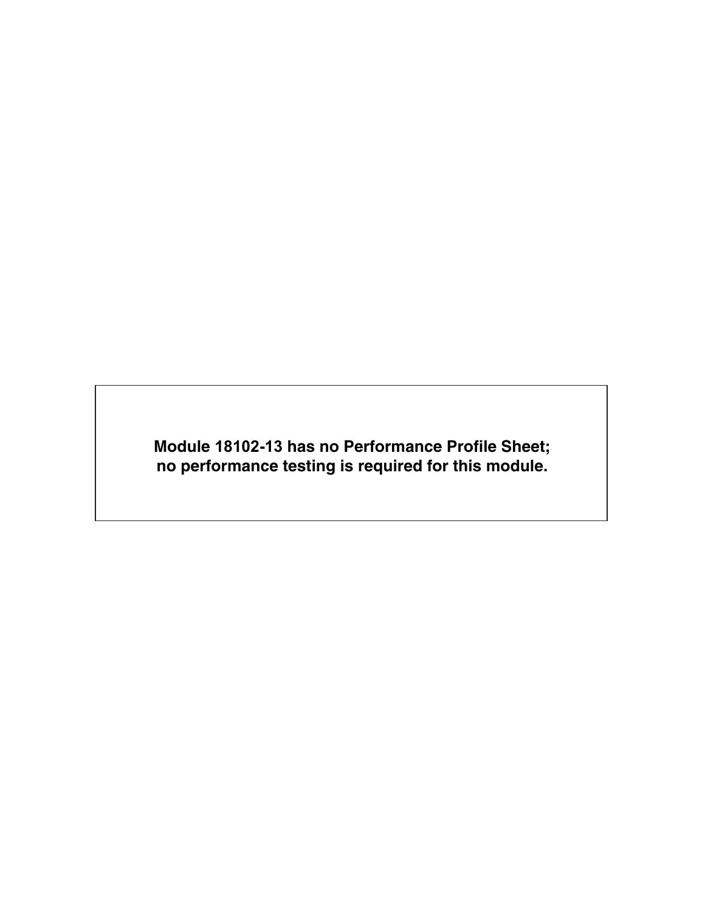**Module 18102-13 has no Performance Profile Sheet; no performance testing is required for this module.**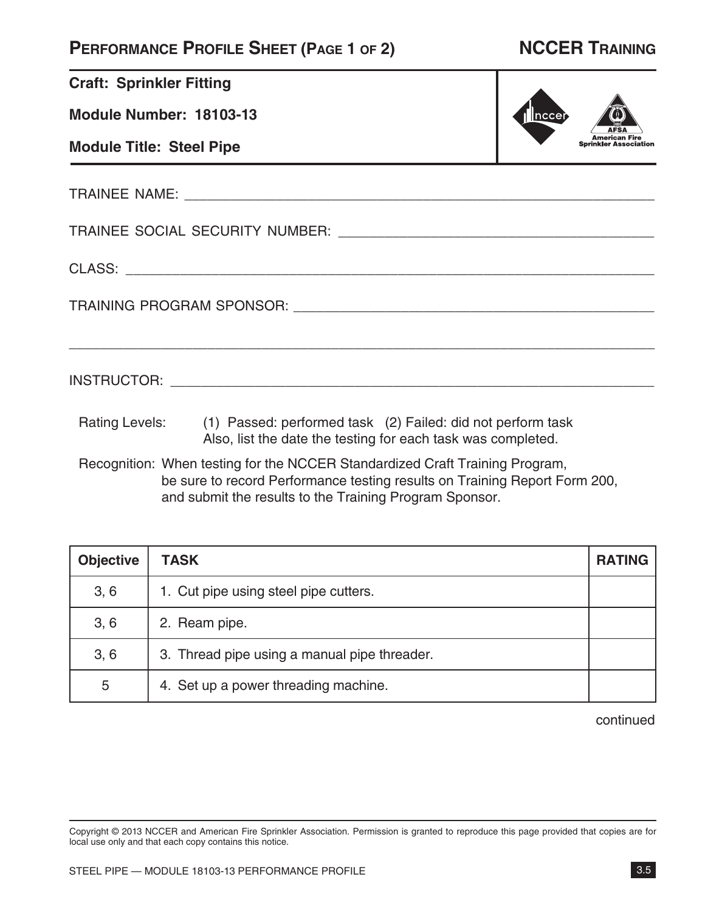### **PERFORMANCE PROFILE SHEET (PAGE 1 OF 2) NCCER TRAINING**

American Fire<br>Sprinkler Association

||ncce

|  | <b>Craft: Sprinkler Fitting</b> |  |
|--|---------------------------------|--|
|--|---------------------------------|--|

**Module Number: 18103-13**

**Module Title: Steel Pipe**

TRAINEE NAME: \_\_\_\_\_\_\_\_\_\_\_\_\_\_\_\_\_\_\_\_\_\_\_\_\_\_\_\_\_\_\_\_\_\_\_\_\_\_\_\_\_\_\_\_\_\_\_\_\_\_\_\_\_\_\_\_\_\_\_\_\_

TRAINEE SOCIAL SECURITY NUMBER: \_\_\_\_\_\_\_\_\_\_\_\_\_\_\_\_\_\_\_\_\_\_\_\_\_\_\_\_\_\_\_\_\_\_\_\_\_\_\_\_\_

CLASS: \_\_\_\_\_\_\_\_\_\_\_\_\_\_\_\_\_\_\_\_\_\_\_\_\_\_\_\_\_\_\_\_\_\_\_\_\_\_\_\_\_\_\_\_\_\_\_\_\_\_\_\_\_\_\_\_\_\_\_\_\_\_\_\_\_\_\_\_

TRAINING PROGRAM SPONSOR: \_\_\_\_\_\_\_\_\_\_\_\_\_\_\_\_\_\_\_\_\_\_\_\_\_\_\_\_\_\_\_\_\_\_\_\_\_\_\_\_\_\_\_\_\_\_\_

INSTRUCTOR: \_\_\_\_\_\_\_\_\_\_\_\_\_\_\_\_\_\_\_\_\_\_\_\_\_\_\_\_\_\_\_\_\_\_\_\_\_\_\_\_\_\_\_\_\_\_\_\_\_\_\_\_\_\_\_\_\_\_\_\_\_\_\_

Rating Levels: (1) Passed: performed task (2) Failed: did not perform task Also, list the date the testing for each task was completed.

Recognition: When testing for the NCCER Standardized Craft Training Program, be sure to record Performance testing results on Training Report Form 200, and submit the results to the Training Program Sponsor.

\_\_\_\_\_\_\_\_\_\_\_\_\_\_\_\_\_\_\_\_\_\_\_\_\_\_\_\_\_\_\_\_\_\_\_\_\_\_\_\_\_\_\_\_\_\_\_\_\_\_\_\_\_\_\_\_\_\_\_\_\_\_\_\_\_\_\_\_\_\_\_\_\_\_\_\_

| <b>Objective</b> | <b>TASK</b>                                  | <b>RATING</b> |
|------------------|----------------------------------------------|---------------|
| 3, 6             | 1. Cut pipe using steel pipe cutters.        |               |
| 3, 6             | 2. Ream pipe.                                |               |
| 3, 6             | 3. Thread pipe using a manual pipe threader. |               |
| 5                | 4. Set up a power threading machine.         |               |

continued

Copyright © 2013 NCCER and American Fire Sprinkler Association. Permission is granted to reproduce this page provided that copies are for local use only and that each copy contains this notice.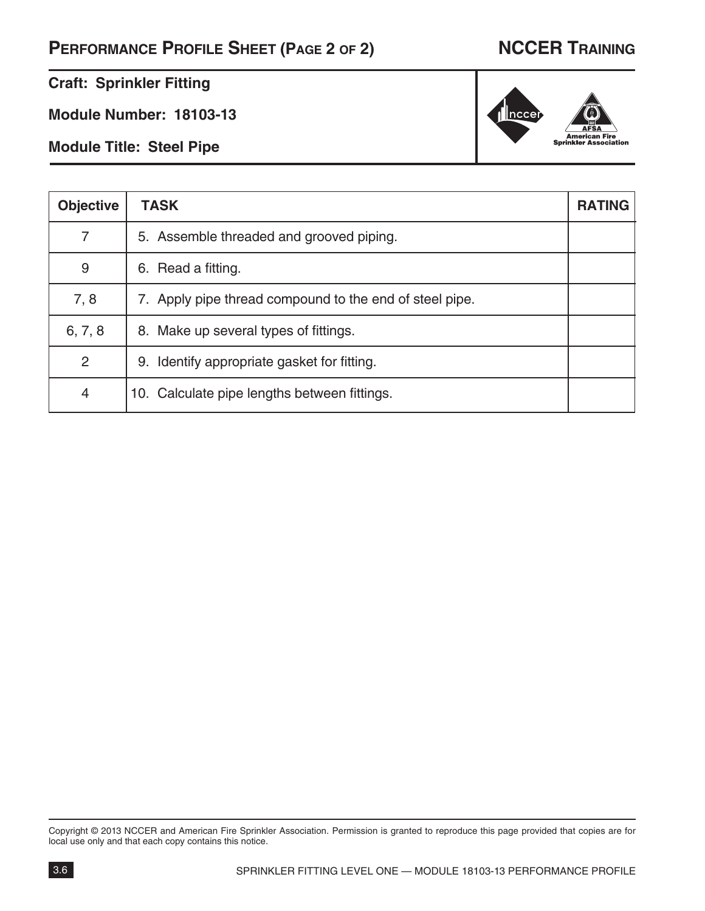## **PERFORMANCE PROFILE SHEET (PAGE 2 OF 2) NCCER TRAINING**

American Fi<br>Sprinkler Associ

e<br>ation

 $\ln$ cce

### **Craft: Sprinkler Fitting**

**Module Number: 18103-13**

**Module Title: Steel Pipe**

| <b>Objective</b> | <b>TASK</b>                                             | <b>RATING</b> |
|------------------|---------------------------------------------------------|---------------|
| 7                | 5. Assemble threaded and grooved piping.                |               |
| 9                | 6. Read a fitting.                                      |               |
| 7, 8             | 7. Apply pipe thread compound to the end of steel pipe. |               |
| 6, 7, 8          | 8. Make up several types of fittings.                   |               |
| 2                | 9. Identify appropriate gasket for fitting.             |               |
| 4                | 10. Calculate pipe lengths between fittings.            |               |

Copyright © 2013 NCCER and American Fire Sprinkler Association. Permission is granted to reproduce this page provided that copies are for local use only and that each copy contains this notice.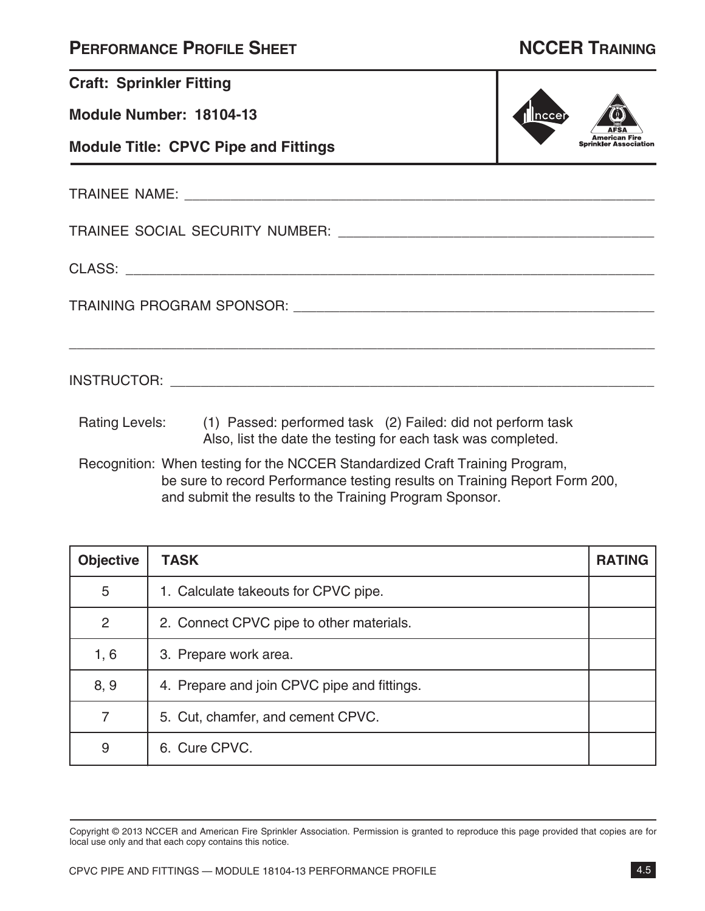| <b>PERFORMANCE PROFILE SHEET</b> |  |  |
|----------------------------------|--|--|
|----------------------------------|--|--|

## **NCCER TRAINING**

| <b>Craft: Sprinkler Fitting</b>             |                                                                                                                                            |        |
|---------------------------------------------|--------------------------------------------------------------------------------------------------------------------------------------------|--------|
| Module Number: 18104-13                     |                                                                                                                                            | Inccer |
| <b>Module Title: CPVC Pipe and Fittings</b> |                                                                                                                                            |        |
|                                             |                                                                                                                                            |        |
|                                             |                                                                                                                                            |        |
|                                             |                                                                                                                                            |        |
|                                             |                                                                                                                                            |        |
|                                             |                                                                                                                                            |        |
|                                             | Rating Levels: (1) Passed: performed task (2) Failed: did not perform task<br>Also, list the date the testing for each task was completed. |        |
|                                             |                                                                                                                                            |        |

Recognition: When testing for the NCCER Standardized Craft Training Program, be sure to record Performance testing results on Training Report Form 200, and submit the results to the Training Program Sponsor.

| <b>Objective</b> | <b>TASK</b>                                 | <b>RATING</b> |
|------------------|---------------------------------------------|---------------|
| 5                | 1. Calculate takeouts for CPVC pipe.        |               |
| 2                | 2. Connect CPVC pipe to other materials.    |               |
| 1, 6             | 3. Prepare work area.                       |               |
| 8, 9             | 4. Prepare and join CPVC pipe and fittings. |               |
| $\overline{7}$   | 5. Cut, chamfer, and cement CPVC.           |               |
| 9                | 6. Cure CPVC.                               |               |

Copyright © 2013 NCCER and American Fire Sprinkler Association. Permission is granted to reproduce this page provided that copies are for local use only and that each copy contains this notice.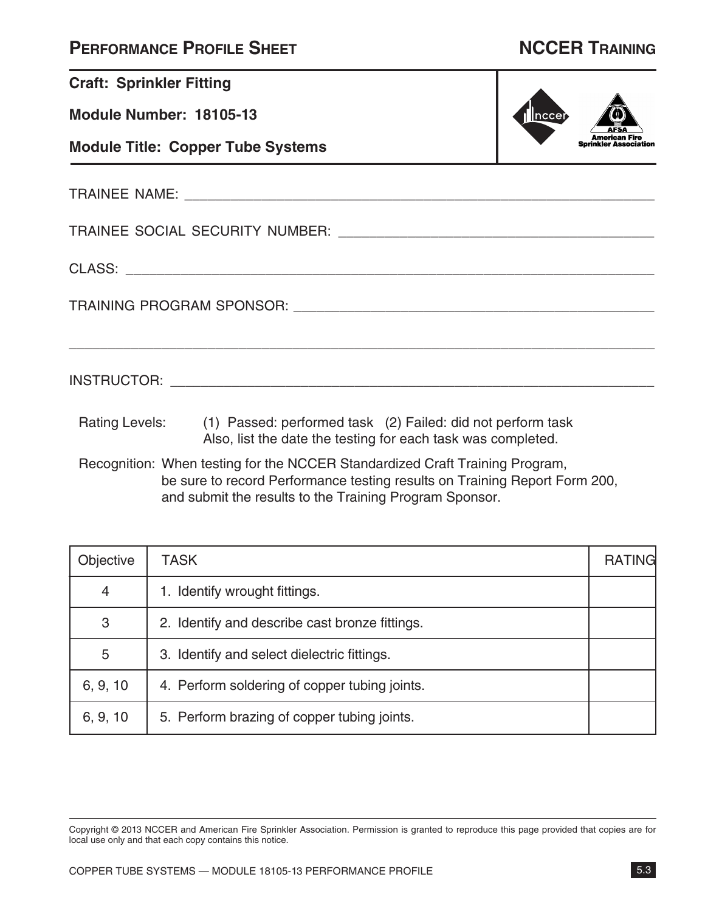| <b>PERFORMANCE PROFILE SHEET</b> |  |  |
|----------------------------------|--|--|
|----------------------------------|--|--|

## **NCCER TRAINING**

| <b>Craft: Sprinkler Fitting</b>          |                                                                                                                                            |              |
|------------------------------------------|--------------------------------------------------------------------------------------------------------------------------------------------|--------------|
| Module Number: 18105-13                  |                                                                                                                                            | <u> ncce</u> |
| <b>Module Title: Copper Tube Systems</b> |                                                                                                                                            |              |
|                                          |                                                                                                                                            |              |
|                                          |                                                                                                                                            |              |
|                                          |                                                                                                                                            |              |
|                                          |                                                                                                                                            |              |
|                                          |                                                                                                                                            |              |
|                                          | Rating Levels: (1) Passed: performed task (2) Failed: did not perform task<br>Also, list the date the testing for each task was completed. |              |
|                                          | Recognition: When testing for the NCCER Standardized Craft Training Program,                                                               |              |

be sure to record Performance testing results on Training Report Form 200, and submit the results to the Training Program Sponsor.

| Objective | <b>TASK</b>                                    | <b>RATING</b> |
|-----------|------------------------------------------------|---------------|
| 4         | 1. Identify wrought fittings.                  |               |
| 3         | 2. Identify and describe cast bronze fittings. |               |
| 5         | 3. Identify and select dielectric fittings.    |               |
| 6, 9, 10  | 4. Perform soldering of copper tubing joints.  |               |
| 6, 9, 10  | 5. Perform brazing of copper tubing joints.    |               |

Copyright © 2013 NCCER and American Fire Sprinkler Association. Permission is granted to reproduce this page provided that copies are for local use only and that each copy contains this notice.